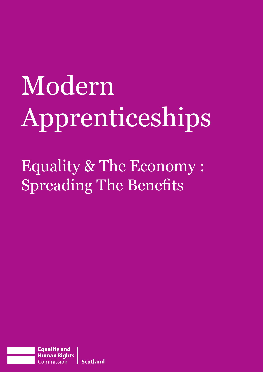# Modern Apprenticeships

Equality & The Economy : Spreading The Benefits

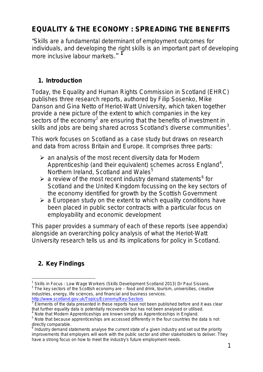# **EQUALITY & THE ECONOMY : SPREADING THE BENEFITS**

*"Skills are a fundamental determinant of employment outcomes for individuals, and developing the right skills is an important part of developing more inclusive labour markets*." **[1](#page-1-0)**

# **1. Introduction**

Today, the Equality and Human Rights Commission in Scotland (EHRC) publishes three research reports, authored by Filip Sosenko, Mike Danson and Gina Netto of Heriot-Watt University, which taken together provide a new picture of the extent to which companies in the key sectors of the economy<sup>[2](#page-1-1)</sup> are ensuring that the benefits of investment in skills and jobs are being shared across Scotland's diverse communities $3$ .

This work focuses on Scotland as a case study but draws on research and data from across Britain and Europe. It comprises three parts:

- $\triangleright$  an analysis of the most recent diversity data for Modern Apprenticeship (and their equivalent) schemes across England<sup>[4](#page-1-3)</sup>, Northern Ireland, Scotland and Wales<sup>[5](#page-1-4)</sup>
- $\triangleright$  a review of the most recent industry demand statements<sup>[6](#page-1-5)</sup> for Scotland and the United Kingdom focussing on the key sectors of the economy identified for growth by the Scottish Government
- $\triangleright$  a European study on the extent to which equality conditions have been placed in public sector contracts with a particular focus on employability and economic development

This paper provides a summary of each of these reports (see appendix) alongside an overarching policy analysis of what the Heriot-Watt University research tells us and its implications for policy in Scotland.

# **2. Key Findings**

<span id="page-1-1"></span><span id="page-1-0"></span> $\overline{\phantom{a}}$ <sup>1</sup> Skills in Focus : Low Wage Workers (Skills Development Scotland 2013) Dr Paul Sissons.  $2$  The key sectors of the Scottish economy are – food and drink, tourism, universities, creative industries, energy, life sciences, and financial and business services. <http://www.scotland.gov.uk/Topics/Economy/Key-Sectors>

<span id="page-1-2"></span>**EXPRESS ELEMENTS CONSUMING LATE CONSUMING THE EXPRESSION STATES IN A SET ALLOCATE SET ALLOCATE SET ALLOCATE S** that further equality data is potentially recoverable but has not been analysed or utilised.<br><sup>4</sup> Note that Modern Apprenticeships are known simply as Apprenticeships in England.

<span id="page-1-3"></span>

<span id="page-1-4"></span><sup>&</sup>lt;sup>5</sup> Note that because apprenticeships are accessed differently in the four countries the data is not directly comparable.

<span id="page-1-5"></span> $6$  Industry demand statements analyse the current state of a given industry and set out the priority improvements that employers will work with the public sector and other stakeholders to deliver. They have a strong focus on how to meet the industry's future employment needs.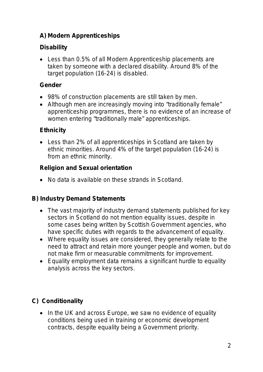# **A) Modern Apprenticeships**

# **Disability**

• Less than 0.5% of all Modern Apprenticeship placements are taken by someone with a declared disability. Around 8% of the target population (16-24) is disabled.

# **Gender**

- 98% of construction placements are still taken by men.
- Although men are increasingly moving into "traditionally female" apprenticeship programmes, there is no evidence of an increase of women entering "traditionally male" apprenticeships.

# **Ethnicity**

• Less than 2% of all apprenticeships in Scotland are taken by ethnic minorities. Around 4% of the target population (16-24) is from an ethnic minority.

# **Religion and Sexual orientation**

• No data is available on these strands in Scotland.

# **B) Industry Demand Statements**

- The vast majority of industry demand statements published for key sectors in Scotland do not mention equality issues, despite in some cases being written by Scottish Government agencies, who have specific duties with regards to the advancement of equality.
- Where equality issues are considered, they generally relate to the need to attract and retain more younger people and women, but do not make firm or measurable commitments for improvement.
- Equality employment data remains a significant hurdle to equality analysis across the key sectors.

# **C) Conditionality**

• In the UK and across Europe, we saw no evidence of equality conditions being used in training or economic development contracts, despite equality being a Government priority.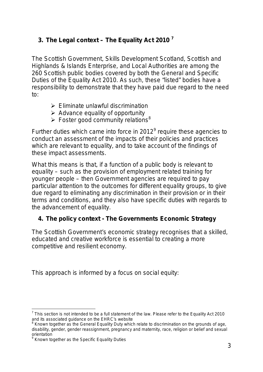# **3. The Legal context – The Equality Act 2010 [7](#page-1-3)**

The Scottish Government, Skills Development Scotland, Scottish and Highlands & Islands Enterprise, and Local Authorities are among the 260 Scottish public bodies covered by both the General and Specific Duties of the Equality Act 2010. As such, these "listed" bodies have a responsibility to demonstrate that they have paid due regard to the need to:

- $\triangleright$  Eliminate unlawful discrimination
- $\triangleright$  Advance equality of opportunity
- $\triangleright$  Foster good community relations<sup>[8](#page-3-0)</sup>

Further duties which came into force in 2012<sup>[9](#page-3-1)</sup> require these agencies to conduct an assessment of the impacts of their policies and practices which are relevant to equality, and to take account of the findings of these impact assessments.

What this means is that, if a function of a public body is relevant to equality – such as the provision of employment related training for younger people – then Government agencies are required to pay particular attention to the outcomes for different equality groups, to give due regard to eliminating any discrimination in their provision or in their terms and conditions, and they also have specific duties with regards to the advancement of equality.

#### **4. The policy context - The Governments Economic Strategy**

The Scottish Government's economic strategy recognises that a skilled, educated and creative workforce is essential to creating a more competitive and resilient economy.

This approach is informed by a focus on social equity:

<sup>-</sup> $7$  This section is not intended to be a full statement of the law. Please refer to the Equality Act 2010 and its associated guidance on the EHRC's website

<span id="page-3-2"></span><span id="page-3-0"></span><sup>&</sup>lt;sup>8</sup> Known together as the General Equality Duty which relate to discrimination on the grounds of age, disability, gender, gender reassignment, pregnancy and maternity, race, religion or belief and sexual orientation

<span id="page-3-1"></span><sup>&</sup>lt;sup>9</sup> Known together as the Specific Equality Duties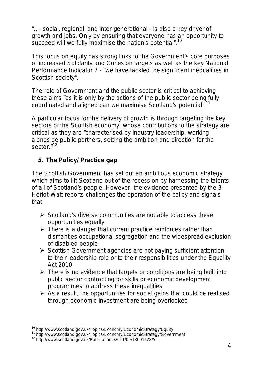*"...- social, regional, and inter-generational - is also a key driver of growth and jobs. Only by ensuring that everyone has an opportunity to succeed will we fully maximise the nation's potential". [10](#page-3-2)*

This focus on equity has strong links to the Government's core purposes of increased Solidarity and Cohesion targets as well as the key National Performance Indicator 7 - *"we have tackled the significant [inequalities](http://www.scotland.gov.uk/About/scotPerforms/outcome/inequalities) in Scottish society".*

The role of Government and the public sector is critical to achieving these aims "*as it is only by the actions of the public sector being fully coordinated and aligned can we maximise Scotland's potential". [11](#page-4-0)*

A particular focus for the delivery of growth is through targeting the key sectors of the Scottish economy, whose contributions to the strategy are critical as they are *"characterised by industry leadership, working alongside public partners, setting the ambition and direction for the sector."[12](#page-4-1)*

# **5. The Policy/ Practice gap**

The Scottish Government has set out an ambitious economic strategy which aims to lift Scotland out of the recession by harnessing the talents of all of Scotland's people. However, the evidence presented by the 3 Heriot-Watt reports challenges the operation of the policy and signals that:

- $\triangleright$  Scotland's diverse communities are not able to access these opportunities equally
- $\triangleright$  There is a danger that current practice reinforces rather than dismantles occupational segregation and the widespread exclusion of disabled people
- $\triangleright$  Scottish Government agencies are not paying sufficient attention to their leadership role or to their responsibilities under the Equality Act 2010
- $\triangleright$  There is no evidence that targets or conditions are being built into public sector contracting for skills or economic development programmes to address these inequalities
- $\triangleright$  As a result, the opportunities for social gains that could be realised through economic investment are being overlooked

<sup>-</sup>

<span id="page-4-0"></span><sup>&</sup>lt;sup>10</sup> http://www.scotland.gov.uk/Topics/Economy/EconomicStrategy/Equity<br><sup>11</sup> http://www.scotland.gov.uk/Topics/Economy/EconomicStrategy/Government<br><sup>12</sup> http://www.scotland.gov.uk/Publications/2011/09/13091128/5

<span id="page-4-1"></span>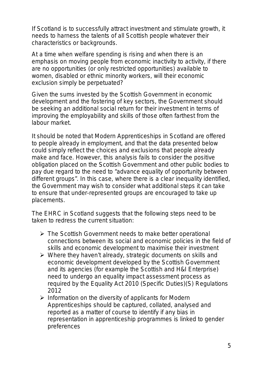If Scotland is to successfully attract investment and stimulate growth, it needs to harness the talents of all Scottish people whatever their characteristics or backgrounds.

At a time when welfare spending is rising and when there is an emphasis on moving people from economic inactivity to activity, if there are no opportunities (or only restricted opportunities) available to women, disabled or ethnic minority workers, will their economic exclusion simply be perpetuated?

Given the sums invested by the Scottish Government in economic development and the fostering of key sectors, the Government should be seeking an additional social return for their investment in terms of improving the employability and skills of those often farthest from the labour market.

It should be noted that Modern Apprenticeships in Scotland are offered to people already in employment, and that the data presented below could simply reflect the choices and exclusions that people already make and face. However, this analysis fails to consider the positive obligation placed on the Scottish Government and other public bodies to pay due regard to the need to *"advance equality of opportunity between different groups"*. In this case, where there is a clear inequality identified, the Government may wish to consider what additional steps it can take to ensure that under-represented groups are encouraged to take up placements.

The EHRC in Scotland suggests that the following steps need to be taken to redress the current situation:

- The Scottish Government needs to make better operational connections between its social and economic policies in the field of skills and economic development to maximise their investment
- $\triangleright$  Where they haven't already, strategic documents on skills and economic development developed by the Scottish Government and its agencies (for example the Scottish and H&I Enterprise) need to undergo an equality impact assessment process as required by the Equality Act 2010 (Specific Duties)(S) Regulations 2012
- $\triangleright$  Information on the diversity of applicants for Modern Apprenticeships should be captured, collated, analysed and reported as a matter of course to identify if any bias in representation in apprenticeship programmes is linked to gender preferences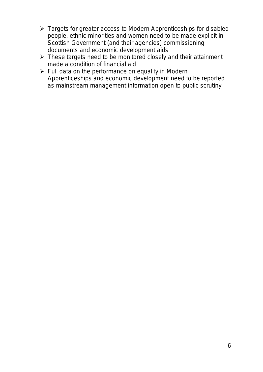- Targets for greater access to Modern Apprenticeships for disabled people, ethnic minorities and women need to be made explicit in Scottish Government (and their agencies) commissioning documents and economic development aids
- $\triangleright$  These targets need to be monitored closely and their attainment made a condition of financial aid
- $\triangleright$  Full data on the performance on equality in Modern Apprenticeships and economic development need to be reported as mainstream management information open to public scrutiny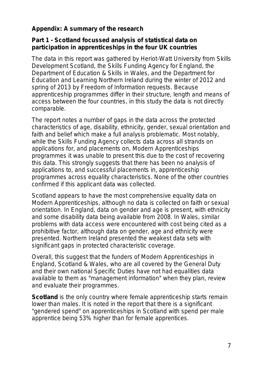# **Appendix: A summary of the research**

#### **Part 1 - Scotland focussed analysis of statistical data on participation in apprenticeships in the four UK countries**

The data in this report was gathered by Heriot-Watt University from Skills Development Scotland, the Skills Funding Agency for England, the Department of Education & Skills in Wales, and the Department for Education and Learning Northern Ireland during the winter of 2012 and spring of 2013 by Freedom of Information requests. Because apprenticeship programmes differ in their structure, length and means of access between the four countries, in this study the data is not directly comparable.

The report notes a number of gaps in the data across the protected characteristics of age, disability, ethnicity, gender, sexual orientation and faith and belief which make a full analysis problematic. Most notably, while the Skills Funding Agency collects data across all strands on applications for, and placements on, Modern Apprenticeships programmes it was unable to present this due to the cost of recovering this data. This strongly suggests that there has been no analysis of applications to, and successful placements in, apprenticeship programmes across equality characteristics. None of the other countries confirmed if this applicant data was collected.

Scotland appears to have the most comprehensive equality data on Modern Apprenticeships, although no data is collected on faith or sexual orientation. In England, data on gender and age is present, with ethnicity and some disability data being available from 2008. In Wales, similar problems with data access were encountered with cost being cited as a prohibitive factor, although data on gender, age and ethnicity were presented. Northern Ireland presented the weakest data sets with significant gaps in protected characteristic coverage.

Overall, this suggest that the funders of Modern Apprenticeships in England, Scotland & Wales, who are all covered by the General Duty and their own national Specific Duties have not had equalities data available to them as "management information" when they plan, review and evaluate their programmes.

**Scotland** is the only country where female apprenticeship starts remain lower than males. It is noted in the report that there is a significant "gendered spend" on apprenticeships in Scotland with spend per male apprentice being 53% higher than for female apprentices.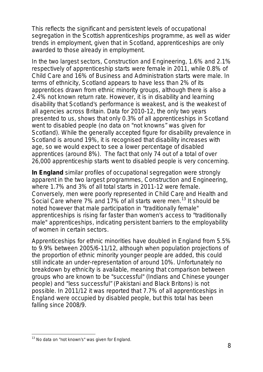This reflects the significant and persistent levels of occupational segregation in the Scottish apprenticeships programme, as well as wider trends in employment, given that in Scotland, apprenticeships are only awarded to those already in employment.

In the two largest sectors, Construction and Engineering, 1.6% and 2.1% respectively of apprenticeship starts were female in 2011, while 0.8% of Child Care and 16% of Business and Administration starts were male. In terms of ethnicity, Scotland appears to have less than 2% of its apprentices drawn from ethnic minority groups, although there is also a 2.4% not known return rate. However, it is in disability and learning disability that Scotland's performance is weakest, and is the weakest of all agencies across Britain. Data for 2010-12, the only two years presented to us, shows that only 0.3% of all apprenticeships in Scotland went to disabled people (no data on "not knowns" was given for Scotland). While the generally accepted figure for disability prevalence in Scotland is around 19%, it is recognised that disability increases with age, so we would expect to see a lower percentage of disabled apprentices (around 8%). The fact that only 74 out of a total of over 26,000 apprenticeship starts went to disabled people is very concerning.

**In England** similar profiles of occupational segregation were strongly apparent in the two largest programmes, Construction and Engineering, where 1.7% and 3% of all total starts in 2011-12 were female. Conversely, men were poorly represented in Child Care and Health and Social Care where 7% and 17% of all starts were men.<sup>[13](#page-4-1)</sup> It should be noted however that male participation in "traditionally female" apprenticeships is rising far faster than women's access to "traditionally male" apprenticeships, indicating persistent barriers to the employability of women in certain sectors.

Apprenticeships for ethnic minorities have doubled in England from 5.5% to 9.9% between 2005/6-11/12, although when population projections of the proportion of ethnic minority younger people are added, this could still indicate an under-representation of around 10%. Unfortunately no breakdown by ethnicity is available, meaning that comparison between groups who are known to be "successful" (Indians and Chinese younger people) and "less successful" (Pakistani and Black Britons) is not possible. In 2011/12 it was reported that 7.7% of all apprenticeships in England were occupied by disabled people, but this total has been falling since 2008/9.

<span id="page-8-0"></span> $\overline{1}$ <sup>13</sup> No data on "not known's" was given for England.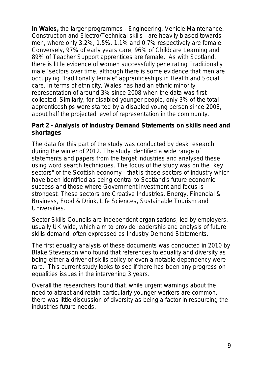**In Wales,** the larger programmes - Engineering, Vehicle Maintenance, Construction and Electro/Technical skills - are heavily biased towards men, where only 3.2%, 1.5%, 1.1% and 0.7% respectively are female. Conversely, 97% of early years care, 96% of Childcare Learning and 89% of Teacher Support apprentices are female. As with Scotland, there is little evidence of women successfully penetrating "traditionally male" sectors over time, although there is some evidence that men are occupying "traditionally female" apprenticeships in Health and Social care. In terms of ethnicity, Wales has had an ethnic minority representation of around 3% since 2008 when the data was first collected. Similarly, for disabled younger people, only 3% of the total apprenticeships were started by a disabled young person since 2008, about half the projected level of representation in the community.

#### **Part 2 - Analysis of Industry Demand Statements on skills need and shortages**

The data for this part of the study was conducted by desk research during the winter of 2012. The study identified a wide range of statements and papers from the target industries and analysed these using word search techniques. The focus of the study was on the "key sectors" of the Scottish economy - that is those sectors of industry which have been identified as being central to Scotland's future economic success and those where Government investment and focus is strongest. These sectors are Creative Industries, Energy, Financial & Business, Food & Drink, Life Sciences, Sustainable Tourism and Universities.

Sector Skills Councils are independent organisations, led by employers, usually UK wide, which aim to provide leadership and analysis of future skills demand, often expressed as Industry Demand Statements.

The first equality analysis of these documents was conducted in 2010 by Blake Stevenson who found that references to equality and diversity as being either a driver of skills policy or even a notable dependency were rare. This current study looks to see if there has been any progress on equalities issues in the intervening 3 years.

Overall the researchers found that, while urgent warnings about the need to attract and retain particularly younger workers are common, there was little discussion of diversity as being a factor in resourcing the industries future needs.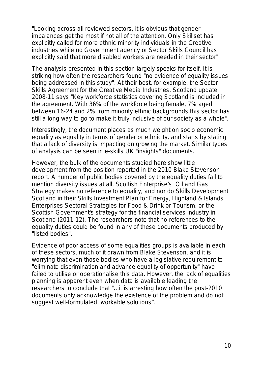"*Looking across all reviewed sectors, it is obvious that gender imbalances get the most if not all of the attention. Only Skillset has explicitly called for more ethnic minority individuals in the Creative industries while no Government agency or Sector Skills Council has explicitly said that more disabled workers are needed in their sector".*

The analysis presented in this section largely speaks for itself. It is striking how often the researchers found "*no evidence of equality issues being addressed in this study".* At their best, for example, the Sector Skills Agreement for the Creative Media Industries, Scotland update 2008-11 says *"Key workforce statistics covering Scotland is included in the agreement. With 36% of the workforce being female, 7% aged between 16-24 and 2% from minority ethnic backgrounds this sector has still a long way to go to make it truly inclusive of our society as a whole"*.

Interestingly, the document places as much weight on socio economic equality as equality in terms of gender or ethnicity, and starts by stating that a lack of diversity is impacting on growing the market. Similar types of analysis can be seen in e-skills UK "insights" documents.

However, the bulk of the documents studied here show little development from the position reported in the 2010 Blake Stevenson report. A number of public bodies covered by the equality duties fail to mention diversity issues at all. Scottish Enterprise's Oil and Gas Strategy makes no reference to equality, and nor do Skills Development Scotland in their Skills Investment Plan for Energy, Highland & Islands Enterprises Sectoral Strategies for Food & Drink or Tourism, or the Scottish Government's strategy for the financial services industry in Scotland (2011-12). The researchers note that no references to the equality duties could be found in any of these documents produced by "listed bodies".

Evidence of poor access of some equalities groups is available in each of these sectors, much of it drawn from Blake Stevenson, and it is worrying that even those bodies who have a legislative requirement to "eliminate discrimination and advance equality of opportunity" have failed to utilise or operationalise this data. However, the lack of equalities planning is apparent even when data is available leading the researchers to conclude that *"...it is arresting how often the post-2010 documents only acknowledge the existence of the problem and do not suggest well-formulated, workable solutions".*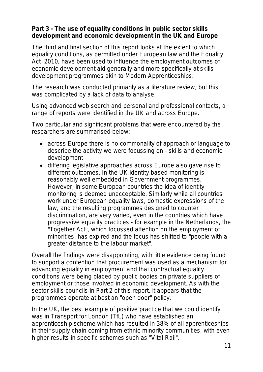#### **Part 3 - The use of equality conditions in public sector skills development and economic development in the UK and Europe**

The third and final section of this report looks at the extent to which equality conditions, as permitted under European law and the Equality Act 2010, have been used to influence the employment outcomes of economic development aid generally and more specifically at skills development programmes akin to Modern Apprenticeships.

The research was conducted primarily as a literature review, but this was complicated by a lack of data to analyse.

Using advanced web search and personal and professional contacts, a range of reports were identified in the UK and across Europe.

Two particular and significant problems that were encountered by the researchers are summarised below:

- across Europe there is no commonality of approach or language to describe the activity we were focussing on - skills and economic development
- differing legislative approaches across Europe also gave rise to different outcomes. In the UK identity based monitoring is reasonably well embedded in Government programmes. However, in some European countries the idea of identity monitoring is deemed unacceptable. Similarly while all countries work under European equality laws, domestic expressions of the law, and the resulting programmes designed to counter discrimination, are very varied, even in the countries which have progressive equality practices - for example in the Netherlands, the "Together Act", which focussed attention on the employment of minorities, has expired and the focus has shifted to "people with a greater distance to the labour market".

Overall the findings were disappointing, with little evidence being found to support a contention that procurement was used as a mechanism for advancing equality in employment and that contractual equality conditions were being placed by public bodies on private suppliers of employment or those involved in economic development. As with the sector skills councils in Part 2 of this report, it appears that the programmes operate at best an "open door" policy.

In the UK, the best example of positive practice that we could identify was in Transport for London (TfL) who have established an apprenticeship scheme which has resulted in 38% of all apprenticeships in their supply chain coming from ethnic minority communities, with even higher results in specific schemes such as "Vital Rail".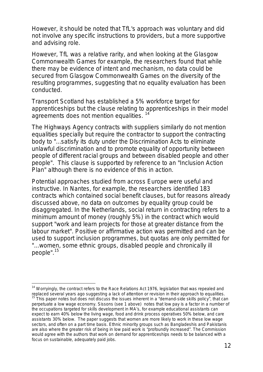However, it should be noted that TfL's approach was voluntary and did not involve any specific instructions to providers, but a more supportive and advising role.

However, TfL was a relative rarity, and when looking at the Glasgow Commonwealth Games for example, the researchers found that while there may be evidence of intent and mechanism, no data could be secured from Glasgow Commonwealth Games on the diversity of the resulting programmes, suggesting that no equality evaluation has been conducted.

Transport Scotland has established a 5% workforce target for apprenticeships but the clause relating to apprenticeships in their model agreements does not mention equalities.<sup>[14](#page-8-0)</sup>

The Highways Agency contracts with suppliers similarly do not mention equalities specially but require the contractor to support the contracting body to *"...satisfy its duty under the Discrimination Acts to eliminate unlawful discrimination and to promote equality of opportunity between people of different racial groups and between disabled people and other people"*. This clause is supported by reference to an "Inclusion Action Plan" although there is no evidence of this in action.

Potential approaches studied from across Europe were useful and instructive. In Nantes, for example, the researchers identified 183 contracts which contained social benefit clauses, but for reasons already discussed above, no data on outcomes by equality group could be disaggregated. In the Netherlands, social return in contracting refers to a minimum amount of money (roughly 5%) in the contract which would support "*work and learn projects for those at greater distance from the labour market".* Positive or affirmative action was permitted and can be used to support inclusion programmes, but quotas are only permitted for *"...women, some ethnic groups, disabled people and chronically ill people".[15](#page-12-0)*

  $14$  Worryingly, the contract refers to the Race Relations Act 1976, legislation that was repealed and replaced several years ago suggesting a lack of attention or revision in their approach to equalities.

<span id="page-12-0"></span>This paper notes but does not discuss the issues inherent in a "demand-side skills policy", that can perpetuate a low wage economy. Sissons (see 1 above) notes that low pay is a factor in a number of the occupations targeted for skills development in MA's, for example educational assistants can expect to earn 40% below the living wage, food and drink process operatives 50% below, and care assistants 30% below. The paper suggests that women are more likely to work in these low wage sectors, and often on a part time basis. Ethnic minority groups such as Bangladeshis and Pakistanis are also where the greater risk of being in low paid work is "profoundly increased". The Commission would agree with the authors that work on demand for apprenticeships needs to be balanced with a focus on sustainable, adequately paid jobs.